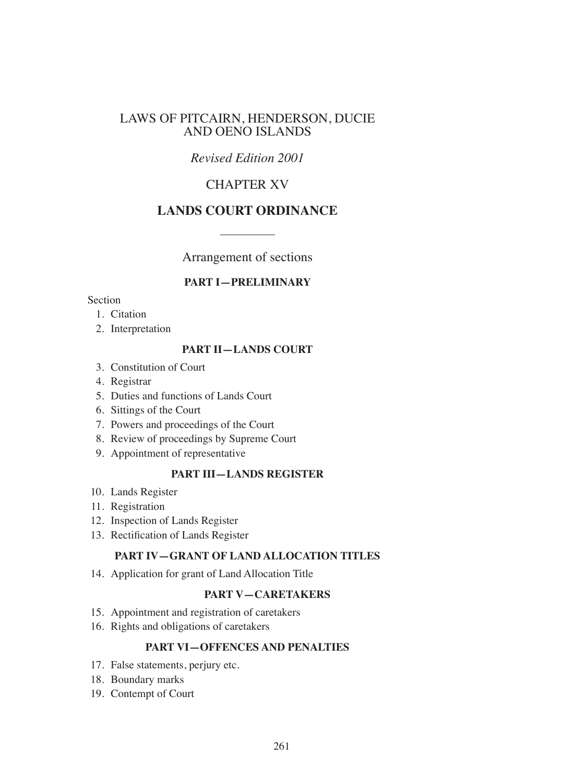### LAWS OF PITCAIRN, HENDERSON, DUCIE AND OENO ISLANDS

# *Revised Edition 2001*

# CHAPTER XV

# **LANDS COURT ORDINANCE**

Arrangement of sections

### **PART I—PRELIMINARY**

#### Section

- 1. Citation
- 2. Interpretation

#### **PART II—LANDS COURT**

- 3. Constitution of Court
- 4. Registrar
- 5. Duties and functions of Lands Court
- 6. Sittings of the Court
- 7. Powers and proceedings of the Court
- 8. Review of proceedings by Supreme Court
- 9. Appointment of representative

### **PART III—LANDS REGISTER**

- 10. Lands Register
- 11. Registration
- 12. Inspection of Lands Register
- 13. Rectification of Lands Register

#### **PART IV—GRANT OF LAND ALLOCATION TITLES**

14. Application for grant of Land Allocation Title

### **PART V—CARETAKERS**

- 15. Appointment and registration of caretakers
- 16. Rights and obligations of caretakers

## **PART VI—OFFENCES AND PENALTIES**

- 17. False statements, perjury etc.
- 18. Boundary marks
- 19. Contempt of Court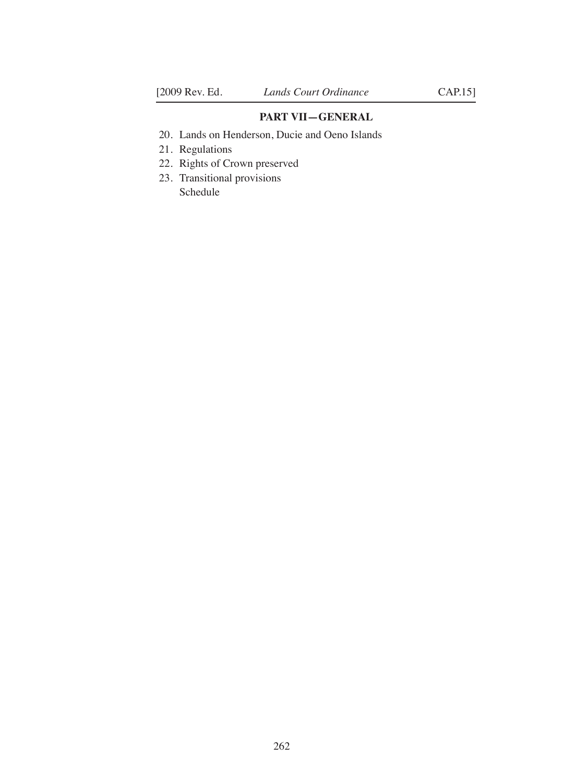### **PART VII—GENERAL**

- 20. Lands on Henderson, Ducie and Oeno Islands
- 21. Regulations
- 22. Rights of Crown preserved
- 23. Transitional provisions Schedule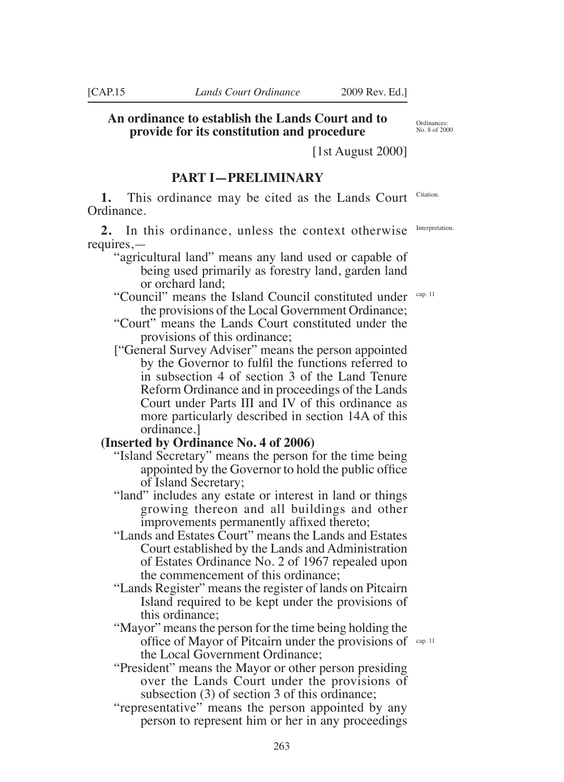**provide for its constitution and procedure** [1st August 2000]

### **PART I—PRELIMINARY**

**1.** This ordinance may be cited as the Lands Court Citation. Ordinance.

**2.** In this ordinance, unless the context otherwise requires.—

- "agricultural land" means any land used or capable of being used primarily as forestry land, garden land or orchard land;
- "Council" means the Island Council constituted under the provisions of the Local Government Ordinance; cap. 11
- "Court" means the Lands Court constituted under the provisions of this ordinance;
- ["General Survey Adviser" means the person appointed by the Governor to fulil the functions referred to in subsection 4 of section 3 of the Land Tenure Reform Ordinance and in proceedings of the Lands Court under Parts III and IV of this ordinance as more particularly described in section 14A of this ordinance.]

# **(Inserted by Ordinance No. 4 of 2006)**

- "Island Secretary" means the person for the time being appointed by the Governor to hold the public ofice of Island Secretary;
- "land" includes any estate or interest in land or things growing thereon and all buildings and other improvements permanently afixed thereto;
- "Lands and Estates Court" means the Lands and Estates Court established by the Lands and Administration of Estates Ordinance No. 2 of 1967 repealed upon the commencement of this ordinance;
- "Lands Register" means the register of lands on Pitcairn Island required to be kept under the provisions of this ordinance;
- "Mayor" means the person for the time being holding the office of Mayor of Pitcairn under the provisions of  $\frac{cap. 11}{2}$ the Local Government Ordinance;
- "President" means the Mayor or other person presiding over the Lands Court under the provisions of subsection (3) of section 3 of this ordinance;
- "representative" means the person appointed by any person to represent him or her in any proceedings

Interpretation.

Ordinances: No. 8 of 2000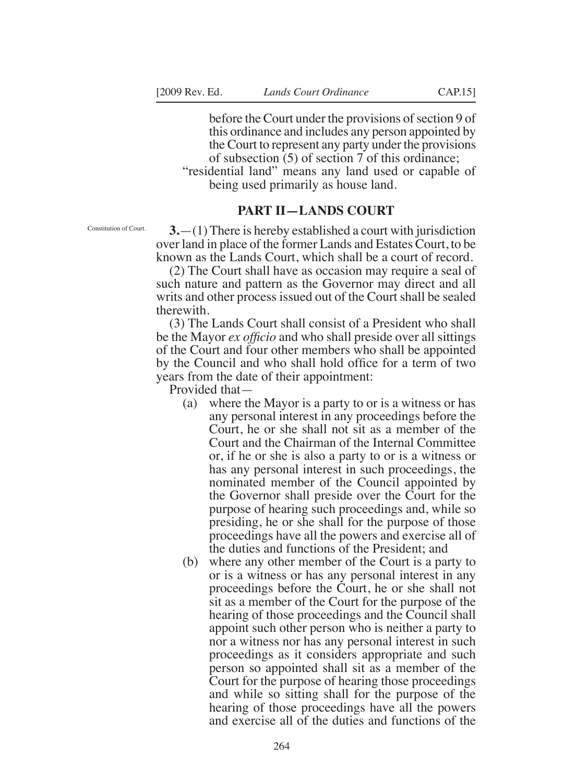before the Court under the provisions of section 9 of this ordinance and includes any person appointed by the Court to represent any party under the provisions of subsection (5) of section 7 of this ordinance;

"residential land" means any land used or capable of being used primarily as house land.

### **PART II—LANDS COURT**

Constitution of Court.

**3.**—(1) There is hereby established a court with jurisdiction over land in place of the former Lands and Estates Court, to be known as the Lands Court, which shall be a court of record.

(2) The Court shall have as occasion may require a seal of such nature and pattern as the Governor may direct and all writs and other process issued out of the Court shall be sealed therewith.

(3) The Lands Court shall consist of a President who shall be the Mayor *ex oficio* and who shall preside over all sittings of the Court and four other members who shall be appointed by the Council and who shall hold ofice for a term of two years from the date of their appointment:

Provided that—

- (a) where the Mayor is a party to or is a witness or has any personal interest in any proceedings before the Court, he or she shall not sit as a member of the Court and the Chairman of the Internal Committee or, if he or she is also a party to or is a witness or has any personal interest in such proceedings, the nominated member of the Council appointed by the Governor shall preside over the Court for the purpose of hearing such proceedings and, while so presiding, he or she shall for the purpose of those proceedings have all the powers and exercise all of the duties and functions of the President; and
- (b) where any other member of the Court is a party to or is a witness or has any personal interest in any proceedings before the Court, he or she shall not sit as a member of the Court for the purpose of the hearing of those proceedings and the Council shall appoint such other person who is neither a party to nor a witness nor has any personal interest in such proceedings as it considers appropriate and such person so appointed shall sit as a member of the Court for the purpose of hearing those proceedings and while so sitting shall for the purpose of the hearing of those proceedings have all the powers and exercise all of the duties and functions of the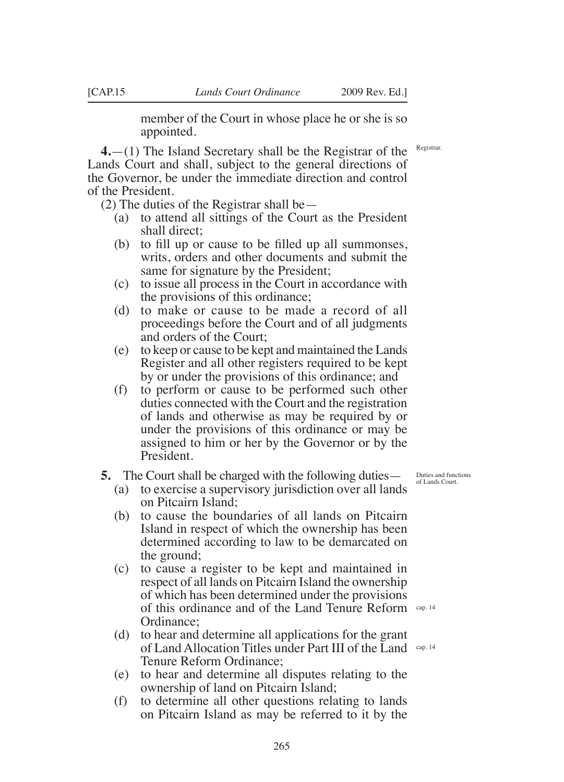member of the Court in whose place he or she is so appointed.

**4.**—(1) The Island Secretary shall be the Registrar of the Lands Court and shall, subject to the general directions of the Governor, be under the immediate direction and control of the President.

(2) The duties of the Registrar shall be—

- (a) to attend all sittings of the Court as the President shall direct;
- (b) to fill up or cause to be filled up all summonses, writs, orders and other documents and submit the same for signature by the President;
- (c) to issue all process in the Court in accordance with the provisions of this ordinance;
- (d) to make or cause to be made a record of all proceedings before the Court and of all judgments and orders of the Court;
- (e) to keep or cause to be kept and maintained the Lands Register and all other registers required to be kept by or under the provisions of this ordinance; and
- (f) to perform or cause to be performed such other duties connected with the Court and the registration of lands and otherwise as may be required by or under the provisions of this ordinance or may be assigned to him or her by the Governor or by the President.

#### **5.** The Court shall be charged with the following duties—

- (a) to exercise a supervisory jurisdiction over all lands on Pitcairn Island;
- (b) to cause the boundaries of all lands on Pitcairn Island in respect of which the ownership has been determined according to law to be demarcated on the ground;
- (c) to cause a register to be kept and maintained in respect of all lands on Pitcairn Island the ownership of which has been determined under the provisions of this ordinance and of the Land Tenure Reform cap. 14 Ordinance;
- (d) to hear and determine all applications for the grant of Land Allocation Titles under Part III of the Land Cap. 14 Tenure Reform Ordinance;
- (e) to hear and determine all disputes relating to the ownership of land on Pitcairn Island;
- (f) to determine all other questions relating to lands on Pitcairn Island as may be referred to it by the

Duties and functions of Lands Court.

Registrar.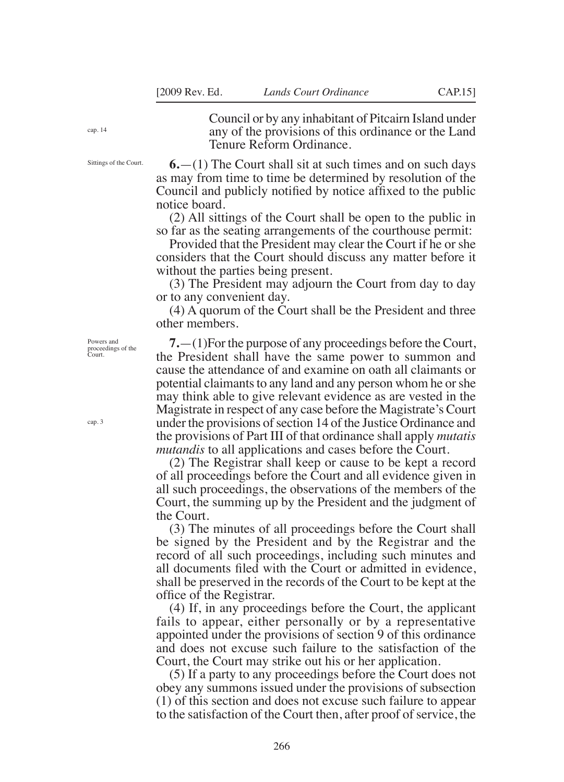cap. 14

Sittings of the Court.

Council or by any inhabitant of Pitcairn Island under any of the provisions of this ordinance or the Land Tenure Reform Ordinance.

**6.**—(1) The Court shall sit at such times and on such days as may from time to time be determined by resolution of the Council and publicly notified by notice affixed to the public notice board.

(2) All sittings of the Court shall be open to the public in so far as the seating arrangements of the courthouse permit:

Provided that the President may clear the Court if he or she considers that the Court should discuss any matter before it without the parties being present.

(3) The President may adjourn the Court from day to day or to any convenient day.

(4) A quorum of the Court shall be the President and three other members.

**7.**—(1)For the purpose of any proceedings before the Court, the President shall have the same power to summon and cause the attendance of and examine on oath all claimants or potential claimants to any land and any person whom he or she may think able to give relevant evidence as are vested in the Magistrate in respect of any case before the Magistrate's Court under the provisions of section 14 of the Justice Ordinance and the provisions of Part III of that ordinance shall apply *mutatis mutandis* to all applications and cases before the Court.

(2) The Registrar shall keep or cause to be kept a record of all proceedings before the Court and all evidence given in all such proceedings, the observations of the members of the Court, the summing up by the President and the judgment of the Court.

(3) The minutes of all proceedings before the Court shall be signed by the President and by the Registrar and the record of all such proceedings, including such minutes and all documents filed with the Court or admitted in evidence, shall be preserved in the records of the Court to be kept at the ofice of the Registrar.

(4) If, in any proceedings before the Court, the applicant fails to appear, either personally or by a representative appointed under the provisions of section 9 of this ordinance and does not excuse such failure to the satisfaction of the Court, the Court may strike out his or her application.

(5) If a party to any proceedings before the Court does not obey any summons issued under the provisions of subsection (1) of this section and does not excuse such failure to appear to the satisfaction of the Court then, after proof of service, the

Powers and proceedings of the Court.

cap. 3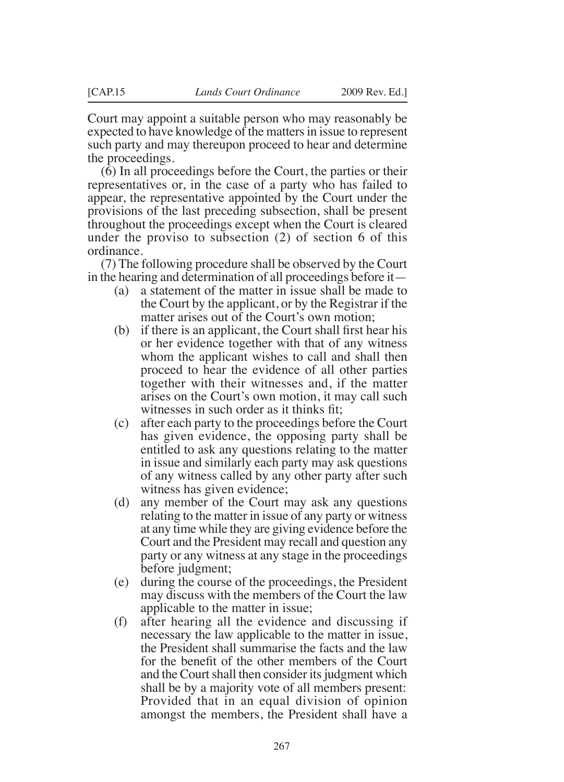Court may appoint a suitable person who may reasonably be expected to have knowledge of the matters in issue to represent such party and may thereupon proceed to hear and determine the proceedings.

(6) In all proceedings before the Court, the parties or their representatives or, in the case of a party who has failed to appear, the representative appointed by the Court under the provisions of the last preceding subsection, shall be present throughout the proceedings except when the Court is cleared under the proviso to subsection (2) of section 6 of this ordinance.

(7) The following procedure shall be observed by the Court in the hearing and determination of all proceedings before it—

- (a) a statement of the matter in issue shall be made to the Court by the applicant, or by the Registrar if the matter arises out of the Court's own motion;
- $(b)$  if there is an applicant, the Court shall first hear his or her evidence together with that of any witness whom the applicant wishes to call and shall then proceed to hear the evidence of all other parties together with their witnesses and, if the matter arises on the Court's own motion, it may call such witnesses in such order as it thinks fit;
- (c) after each party to the proceedings before the Court has given evidence, the opposing party shall be entitled to ask any questions relating to the matter in issue and similarly each party may ask questions of any witness called by any other party after such witness has given evidence;
- (d) any member of the Court may ask any questions relating to the matter in issue of any party or witness at any time while they are giving evidence before the Court and the President may recall and question any party or any witness at any stage in the proceedings before judgment;
- (e) during the course of the proceedings, the President may discuss with the members of the Court the law applicable to the matter in issue;
- (f) after hearing all the evidence and discussing if necessary the law applicable to the matter in issue, the President shall summarise the facts and the law for the benefit of the other members of the Court and the Court shall then consider its judgment which shall be by a majority vote of all members present: Provided that in an equal division of opinion amongst the members, the President shall have a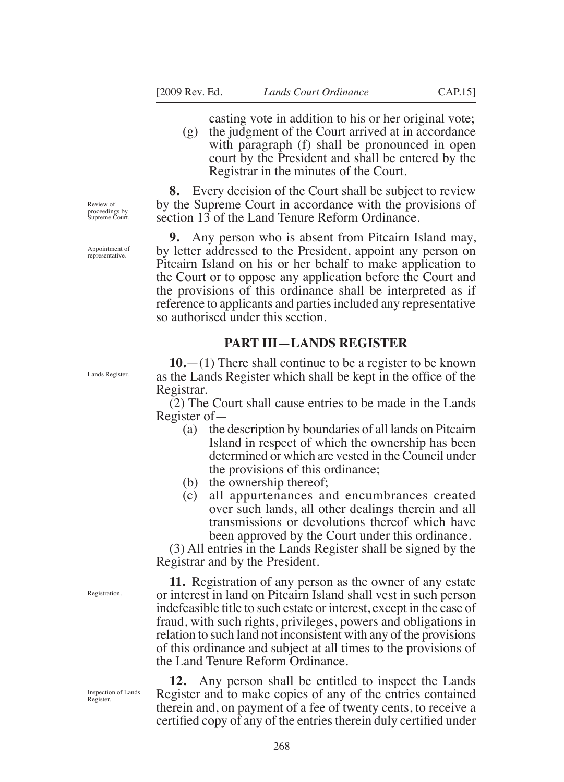casting vote in addition to his or her original vote;

(g) the judgment of the Court arrived at in accordance with paragraph (f) shall be pronounced in open court by the President and shall be entered by the Registrar in the minutes of the Court.

**8.** Every decision of the Court shall be subject to review by the Supreme Court in accordance with the provisions of section 13 of the Land Tenure Reform Ordinance.

**9.** Any person who is absent from Pitcairn Island may, by letter addressed to the President, appoint any person on Pitcairn Island on his or her behalf to make application to the Court or to oppose any application before the Court and the provisions of this ordinance shall be interpreted as if reference to applicants and parties included any representative so authorised under this section.

### **PART III—LANDS REGISTER**

**10.**—(1) There shall continue to be a register to be known as the Lands Register which shall be kept in the ofice of the Registrar.

(2) The Court shall cause entries to be made in the Lands Register of—

- (a) the description by boundaries of all lands on Pitcairn Island in respect of which the ownership has been determined or which are vested in the Council under the provisions of this ordinance;
- (b) the ownership thereof;
- (c) all appurtenances and encumbrances created over such lands, all other dealings therein and all transmissions or devolutions thereof which have been approved by the Court under this ordinance.

(3) All entries in the Lands Register shall be signed by the Registrar and by the President.

**11.** Registration of any person as the owner of any estate or interest in land on Pitcairn Island shall vest in such person indefeasible title to such estate or interest, except in the case of fraud, with such rights, privileges, powers and obligations in relation to such land not inconsistent with any of the provisions of this ordinance and subject at all times to the provisions of the Land Tenure Reform Ordinance.

**12.** Any person shall be entitled to inspect the Lands Register and to make copies of any of the entries contained therein and, on payment of a fee of twenty cents, to receive a certified copy of any of the entries therein duly certified under

Review of proceedings by Supreme Court.

Appointment of representative.

Lands Register.

Registration.

Inspection of Lands Register.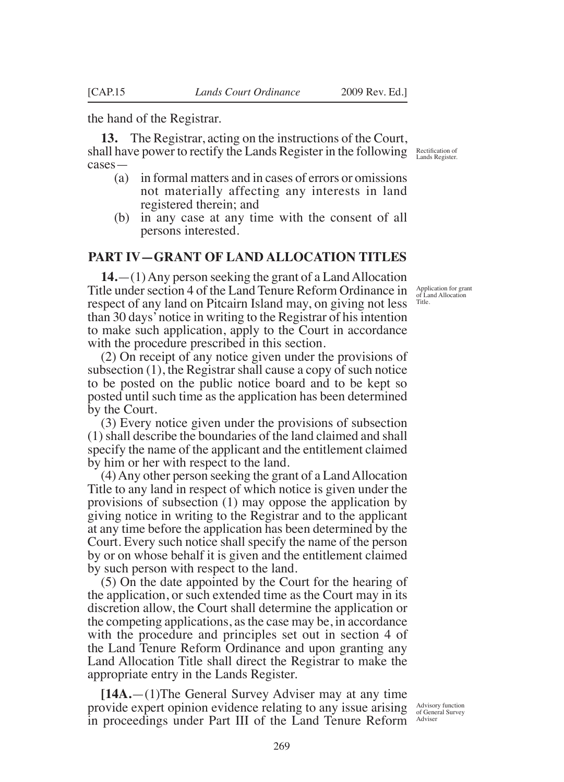the hand of the Registrar.

**13.** The Registrar, acting on the instructions of the Court, shall have power to rectify the Lands Register in the following Rectification of cases—

- (a) in formal matters and in cases of errors or omissions not materially affecting any interests in land registered therein; and
- (b) in any case at any time with the consent of all persons interested.

### **PART IV—GRANT OF LAND ALLOCATION TITLES**

**14.**—(1) Any person seeking the grant of a Land Allocation Title under section 4 of the Land Tenure Reform Ordinance in respect of any land on Pitcairn Island may, on giving not less than 30 days' notice in writing to the Registrar of his intention to make such application, apply to the Court in accordance with the procedure prescribed in this section.

(2) On receipt of any notice given under the provisions of subsection (1), the Registrar shall cause a copy of such notice to be posted on the public notice board and to be kept so posted until such time as the application has been determined by the Court.

(3) Every notice given under the provisions of subsection (1) shall describe the boundaries of the land claimed and shall specify the name of the applicant and the entitlement claimed by him or her with respect to the land.

(4) Any other person seeking the grant of a Land Allocation Title to any land in respect of which notice is given under the provisions of subsection (1) may oppose the application by giving notice in writing to the Registrar and to the applicant at any time before the application has been determined by the Court. Every such notice shall specify the name of the person by or on whose behalf it is given and the entitlement claimed by such person with respect to the land.

(5) On the date appointed by the Court for the hearing of the application, or such extended time as the Court may in its discretion allow, the Court shall determine the application or the competing applications, as the case may be, in accordance with the procedure and principles set out in section 4 of the Land Tenure Reform Ordinance and upon granting any Land Allocation Title shall direct the Registrar to make the appropriate entry in the Lands Register.

provide expert opinion evidence relating to any issue arising Advisory function in proceedings under Part III of the Land Tenure Reform Adviser **[14A.**—(1)The General Survey Adviser may at any time

Application for grant of Land Allocation Title.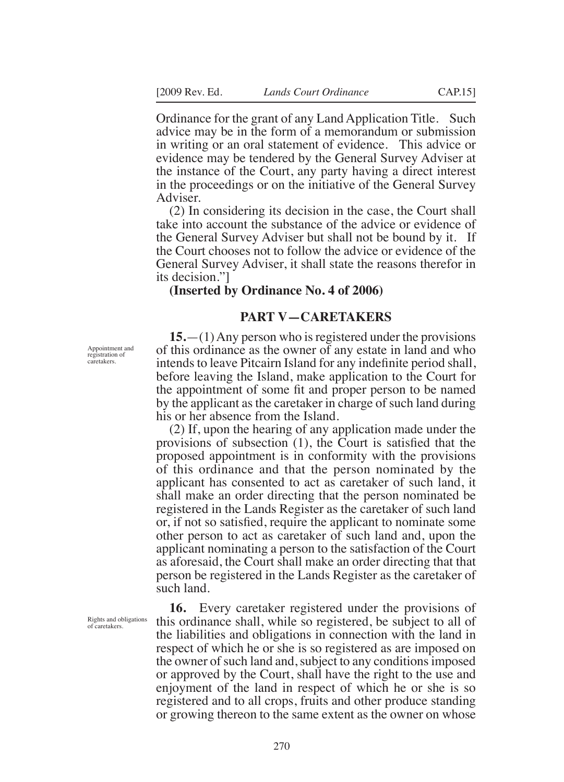Ordinance for the grant of any Land Application Title. Such advice may be in the form of a memorandum or submission in writing or an oral statement of evidence. This advice or evidence may be tendered by the General Survey Adviser at the instance of the Court, any party having a direct interest in the proceedings or on the initiative of the General Survey Adviser.

(2) In considering its decision in the case, the Court shall take into account the substance of the advice or evidence of the General Survey Adviser but shall not be bound by it. If the Court chooses not to follow the advice or evidence of the General Survey Adviser, it shall state the reasons therefor in its decision."]

#### **(Inserted by Ordinance No. 4 of 2006)**

#### **PART V—CARETAKERS**

**15.**—(1) Any person who is registered under the provisions of this ordinance as the owner of any estate in land and who intends to leave Pitcairn Island for any indefinite period shall, before leaving the Island, make application to the Court for the appointment of some fit and proper person to be named by the applicant as the caretaker in charge of such land during his or her absence from the Island.

(2) If, upon the hearing of any application made under the provisions of subsection (1), the Court is satisied that the proposed appointment is in conformity with the provisions of this ordinance and that the person nominated by the applicant has consented to act as caretaker of such land, it shall make an order directing that the person nominated be registered in the Lands Register as the caretaker of such land or, if not so satisied, require the applicant to nominate some other person to act as caretaker of such land and, upon the applicant nominating a person to the satisfaction of the Court as aforesaid, the Court shall make an order directing that that person be registered in the Lands Register as the caretaker of such land.

**16.** Every caretaker registered under the provisions of this ordinance shall, while so registered, be subject to all of the liabilities and obligations in connection with the land in respect of which he or she is so registered as are imposed on the owner of such land and, subject to any conditions imposed or approved by the Court, shall have the right to the use and enjoyment of the land in respect of which he or she is so registered and to all crops, fruits and other produce standing or growing thereon to the same extent as the owner on whose

Appointment and registration of caretakers.

Rights and obligations of caretakers.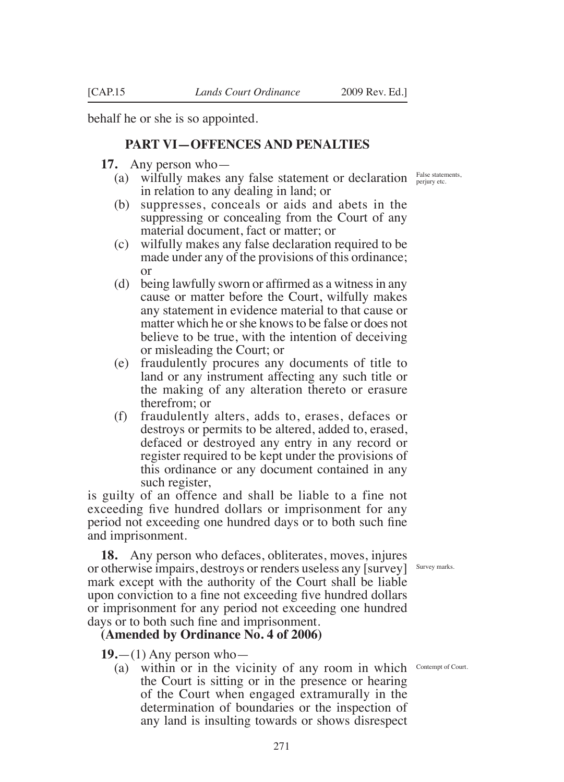behalf he or she is so appointed.

## **PART VI—OFFENCES AND PENALTIES**

**17.** Any person who—

- (a) wilfully makes any false statement or declaration  $F_{\text{perjury etc.}}^{\text{False statements}}$ in relation to any dealing in land; or
- (b) suppresses, conceals or aids and abets in the suppressing or concealing from the Court of any material document, fact or matter; or
- (c) wilfully makes any false declaration required to be made under any of the provisions of this ordinance; or
- (d) being lawfully sworn or afirmed as a witness in any cause or matter before the Court, wilfully makes any statement in evidence material to that cause or matter which he or she knows to be false or does not believe to be true, with the intention of deceiving or misleading the Court; or
- (e) fraudulently procures any documents of title to land or any instrument affecting any such title or the making of any alteration thereto or erasure therefrom; or
- (f) fraudulently alters, adds to, erases, defaces or destroys or permits to be altered, added to, erased, defaced or destroyed any entry in any record or register required to be kept under the provisions of this ordinance or any document contained in any such register,

is guilty of an offence and shall be liable to a fine not exceeding five hundred dollars or imprisonment for any period not exceeding one hundred days or to both such fine and imprisonment.

**18.** Any person who defaces, obliterates, moves, injures or otherwise impairs, destroys or renders useless any [survey] Survey marks. mark except with the authority of the Court shall be liable upon conviction to a fine not exceeding five hundred dollars or imprisonment for any period not exceeding one hundred days or to both such fine and imprisonment.

**(Amended by Ordinance No. 4 of 2006)**

**19.**—(1) Any person who—

(a) within or in the vicinity of any room in which Contempt of Court.the Court is sitting or in the presence or hearing of the Court when engaged extramurally in the determination of boundaries or the inspection of any land is insulting towards or shows disrespect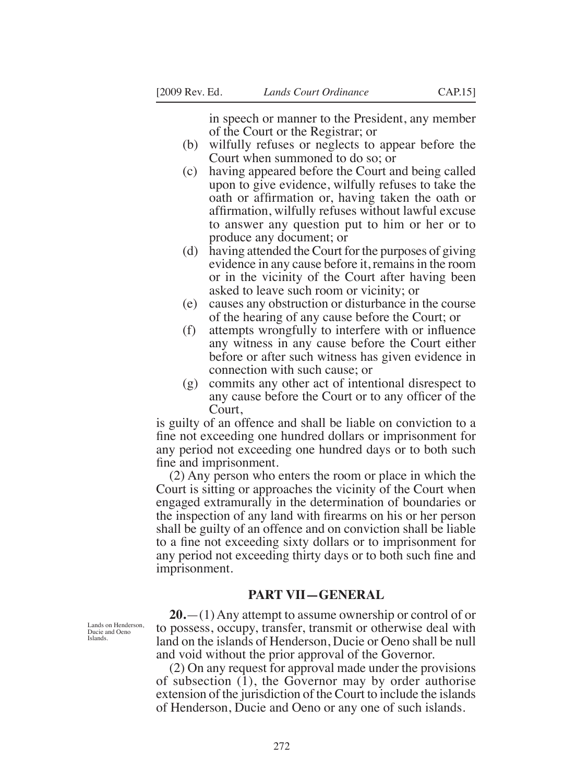in speech or manner to the President, any member of the Court or the Registrar; or

- (b) wilfully refuses or neglects to appear before the Court when summoned to do so; or
- (c) having appeared before the Court and being called upon to give evidence, wilfully refuses to take the oath or afirmation or, having taken the oath or afirmation, wilfully refuses without lawful excuse to answer any question put to him or her or to produce any document; or
- (d) having attended the Court for the purposes of giving evidence in any cause before it, remains in the room or in the vicinity of the Court after having been asked to leave such room or vicinity; or
- (e) causes any obstruction or disturbance in the course of the hearing of any cause before the Court; or
- (f) attempts wrongfully to interfere with or inluence any witness in any cause before the Court either before or after such witness has given evidence in connection with such cause; or
- (g) commits any other act of intentional disrespect to any cause before the Court or to any oficer of the Court,

is guilty of an offence and shall be liable on conviction to a fine not exceeding one hundred dollars or imprisonment for any period not exceeding one hundred days or to both such fine and imprisonment.

(2) Any person who enters the room or place in which the Court is sitting or approaches the vicinity of the Court when engaged extramurally in the determination of boundaries or the inspection of any land with irearms on his or her person shall be guilty of an offence and on conviction shall be liable to a fine not exceeding sixty dollars or to imprisonment for any period not exceeding thirty days or to both such fine and imprisonment.

#### **PART VII—GENERAL**

**20.**—(1) Any attempt to assume ownership or control of or to possess, occupy, transfer, transmit or otherwise deal with land on the islands of Henderson, Ducie or Oeno shall be null and void without the prior approval of the Governor.

(2) On any request for approval made under the provisions of subsection (1), the Governor may by order authorise extension of the jurisdiction of the Court to include the islands of Henderson, Ducie and Oeno or any one of such islands.

Lands on Henderson, Ducie and Oeno Islands.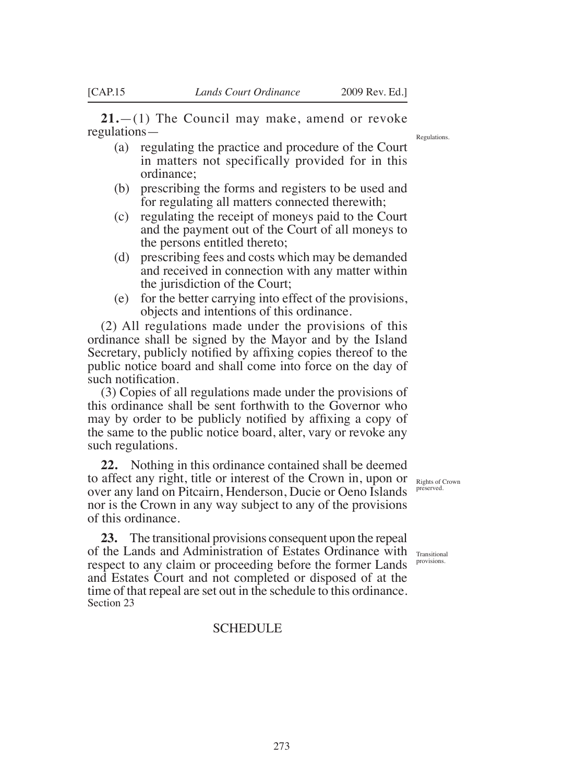**21.**—(1) The Council may make, amend or revoke regulations—

- (a) regulating the practice and procedure of the Court in matters not specifically provided for in this ordinance;
- (b) prescribing the forms and registers to be used and for regulating all matters connected therewith;
- (c) regulating the receipt of moneys paid to the Court and the payment out of the Court of all moneys to the persons entitled thereto;
- (d) prescribing fees and costs which may be demanded and received in connection with any matter within the jurisdiction of the Court;
- (e) for the better carrying into effect of the provisions, objects and intentions of this ordinance.

(2) All regulations made under the provisions of this ordinance shall be signed by the Mayor and by the Island Secretary, publicly notified by affixing copies thereof to the public notice board and shall come into force on the day of such notification.

(3) Copies of all regulations made under the provisions of this ordinance shall be sent forthwith to the Governor who may by order to be publicly notified by affixing a copy of the same to the public notice board, alter, vary or revoke any such regulations.

**22.** Nothing in this ordinance contained shall be deemed to affect any right, title or interest of the Crown in, upon or Rights of Crown over any land on Pitcairn, Henderson, Ducie or Oeno Islands Preserved nor is the Crown in any way subject to any of the provisions of this ordinance.

**23.** The transitional provisions consequent upon the repeal of the Lands and Administration of Estates Ordinance with Transitional respect to any claim or proceeding before the former Lands and Estates Court and not completed or disposed of at the time of that repeal are set out in the schedule to this ordinance. Section 23

SCHEDULE

provisions.

Regulations.